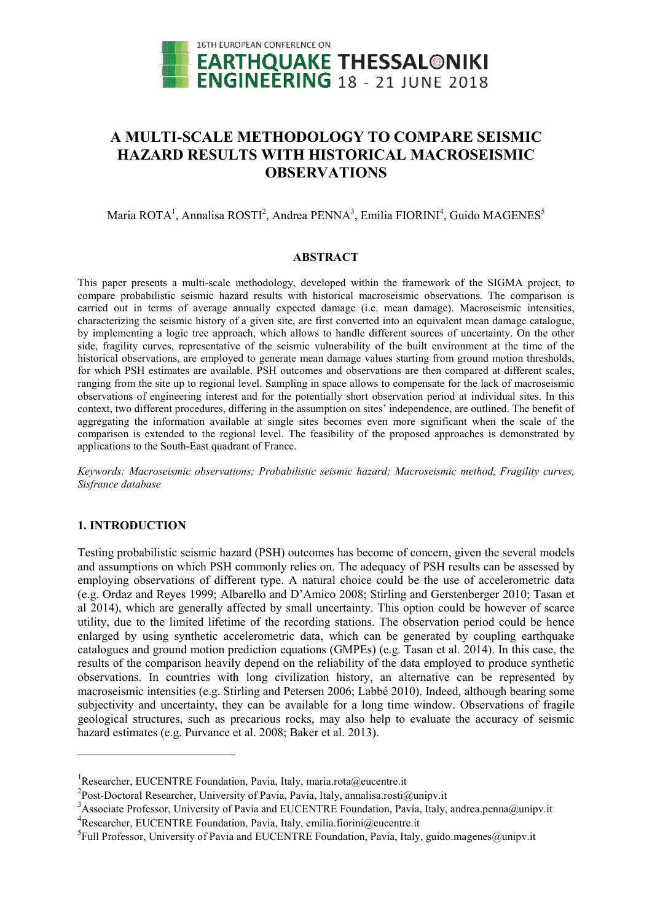

# A MULTI-SCALE METHODOLOGY TO COMPARE SEISMIC HAZARD RESULTS WITH HISTORICAL MACROSEISMIC OBSERVATIONS

# Maria ROTA<sup>1</sup>, Annalisa ROSTI<sup>2</sup>, Andrea PENNA<sup>3</sup>, Emilia FIORINI<sup>4</sup>, Guido MAGENES<sup>5</sup>

### ABSTRACT

This paper presents a multi-scale methodology, developed within the framework of the SIGMA project, to compare probabilistic seismic hazard results with historical macroseismic observations. The comparison is This paper presents a multi-scale methodology, developed within the framework of the SIGMA project, to compare probabilistic seismic hazard results with historical macroseismic observations. The comparison is carried out i characterizing the seismic history of a given site, are first converted into an equivalent mean damage catalogue, by implementing a logic tree approach, which allows to handle different sources of uncertainty. side, fragility curves, representative of the seismic vulnerability of the built environment at the time of the historical observations, are employed to generate mean damage values starting from ground motion thresholds, for which PSH estimates are available. PSH outcomes and observations are then compared at different scales, ranging from the site up to regional level. Sampling in space allows to compensate for the lack of macroseismic ranging from the site up to regional level. Sampling in space allows to compensate for the lack of macroseismic<br>observations of engineering interest and for the potentially short observation period at individual sites. In context, two different procedures, differing in the assumption on sites' independence, are outlined. The benefit of aggregating the information available at single sites becomes even more significant when the scale of the aggregating the information available at single sites becomes even more significant when the scale of the comparison is extended to the regional level. The feasibility of the proposed approaches is demonstrated by applications to the South-East quadrant of France. damage). Macroseismic intensities,<br>a equivalent mean damage catalogue,<br>sources of uncertainty. On the other

Keywords: Macroseismic observations; Probabilistic seismic hazard; Macroseismic method, Fragility curves, *Sisfrance database*

# 1. INTRODUCTION

<u>.</u>

Testing probabilistic seismic hazard (PSH) outcomes has become of concern, given the several models and assumptions on which PSH commonly relies on. The adequacy of PSH results can be assessed by employing observations of different type. A natural choice could be the use of accelerometric data (e.g. Ordaz and Reyes 1999; Albarello and D'Amico 2008; Stirling and Gerstenberger 2010; Tasan et al 2014), which are generally affected by small uncertainty. This option could be however of scarce utility, due to the limited lifetime of the recording stations. The observation period could be hence enlarged by using synthetic accelerometric data, which can be generated by coupling earthquake catalogues and ground motion prediction equations (GMPEs) (e.g. Tasan et al. 2014). In this case, the results of the comparison heavily depend on the reliability of the data employed to produce synthetic observations. In countries with long civilization history history, an alternative can be represented by macroseismic intensities (e.g. Stirling and Petersen 2006; Labbé 2010) 2010). Indeed, although bearing some bearing subjectivity and uncertainty, they can be available for a long time window. Observations of fragile geological structures, such as precarious rocks, may also help to evaluate the accuracy of seismic hazard estimates (e.g. Purvance et al. 2008; Baker et al. 2013). help to evaluate the accuracy of<br>3).<br>we underticate the accuracy of<br>this a.rosti *Q*unipv.it<br>dation, Pavia, Italy, andrea.penna *Qunip*<br>*Qeucentre.it*<br>Pavia, Italy, guido.magenes *Qunipv.it* 

 $\overline{a}$ 

<sup>&</sup>lt;sup>1</sup>Researcher, EUCENTRE Foundation, Pavia, Italy, maria.rota@eucentre.it

<sup>&</sup>lt;sup>2</sup>Post-Doctoral Researcher, University of Pavia, Pavia, Italy, annalisa.rosti@unipv.it

<sup>&</sup>lt;sup>3</sup> Associate Professor, University of Pavia and EUCENTRE Foundation, Pavia, Italy, andrea.penna@unipv.it <sup>4</sup>Researcher, EUCENTRE Foundation, Pavia, Italy, emilia.fiorini@eucentre.it

<sup>&</sup>lt;sup>5</sup>Full Professor, University of Pavia and EUCENTRE Foundation, Pavia, Italy, guido.magen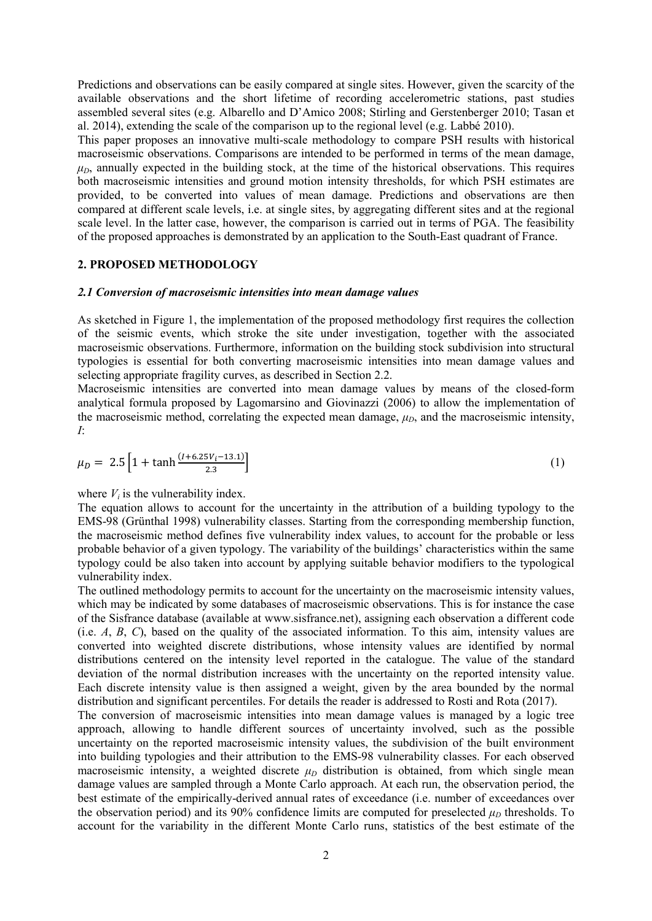Predictions and observations can be easily compared at single sites. However, given the scarcity of the available observations and the short lifetime of recording accelerometric stations, past studies assembled several sites (e.g. Albarello and D'Amico 2008; Stirling and Gerstenberger 2010; Tasan et al. 2014), extending the scale of the comparison up to the regional level (e.g. Labbé 2010).

This paper proposes an innovative multi-scale methodology to compare PSH results with historical macroseismic observations. Comparisons are intended to be performed in terms of the mean damage,  $\mu_D$ , annually expected in the building stock, at the time of the historical observations. This requires both macroseismic intensities and ground motion intensity thresholds, for which PSH estimates are provided, to be converted into values of mean damage. Predictions and observations are then compared at different scale levels, i.e. at single sites, by aggregating different sites and at the regional scale level. In the latter case, however, the comparison is carried out in terms of PGA. The feasibility of the proposed approaches is demonstrated by an application to the South-East quadrant of France.

### 2. PROPOSED METHODOLOGY

#### *2.1 Conversion of macroseismic intensities into mean damage values*

As sketched in Figure 1, the implementation of the proposed methodology first requires the collection of the seismic events, which stroke the site under investigation, together with the associated macroseismic observations. Furthermore, information on the building stock subdivision into structural typologies is essential for both converting macroseismic intensities into mean damage values and selecting appropriate fragility curves, as described in Section 2.2.

Macroseismic intensities are converted into mean damage values by means of the closed-form analytical formula proposed by Lagomarsino and Giovinazzi (2006) to allow the implementation of the macroseismic method, correlating the expected mean damage,  $\mu_D$ , and the macroseismic intensity, *I*:

$$
\mu_D = 2.5 \left[ 1 + \tanh \frac{(1 + 6.25V_i - 13.1)}{2.3} \right] \tag{1}
$$

where  $V_i$  is the vulnerability index.

The equation allows to account for the uncertainty in the attribution of a building typology to the EMS-98 (Grünthal 1998) vulnerability classes. Starting from the corresponding membership function, the macroseismic method defines five vulnerability index values, to account for the probable or less probable behavior of a given typology. The variability of the buildings' characteristics within the same typology could be also taken into account by applying suitable behavior modifiers to the typological vulnerability index.

The outlined methodology permits to account for the uncertainty on the macroseismic intensity values, which may be indicated by some databases of macroseismic observations. This is for instance the case of the Sisfrance database (available at www.sisfrance.net), assigning each observation a different code (i.e. *A*, *B*, *C*), based on the quality of the associated information. To this aim, intensity values are converted into weighted discrete distributions, whose intensity values are identified by normal distributions centered on the intensity level reported in the catalogue. The value of the standard deviation of the normal distribution increases with the uncertainty on the reported intensity value. Each discrete intensity value is then assigned a weight, given by the area bounded by the normal distribution and significant percentiles. For details the reader is addressed to Rosti and Rota (2017).

The conversion of macroseismic intensities into mean damage values is managed by a logic tree approach, allowing to handle different sources of uncertainty involved, such as the possible uncertainty on the reported macroseismic intensity values, the subdivision of the built environment into building typologies and their attribution to the EMS-98 vulnerability classes. For each observed macroseismic intensity, a weighted discrete  $\mu_D$  distribution is obtained, from which single mean damage values are sampled through a Monte Carlo approach. At each run, the observation period, the best estimate of the empirically-derived annual rates of exceedance (i.e. number of exceedances over the observation period) and its 90% confidence limits are computed for preselected  $\mu_D$  thresholds. To account for the variability in the different Monte Carlo runs, statistics of the best estimate of the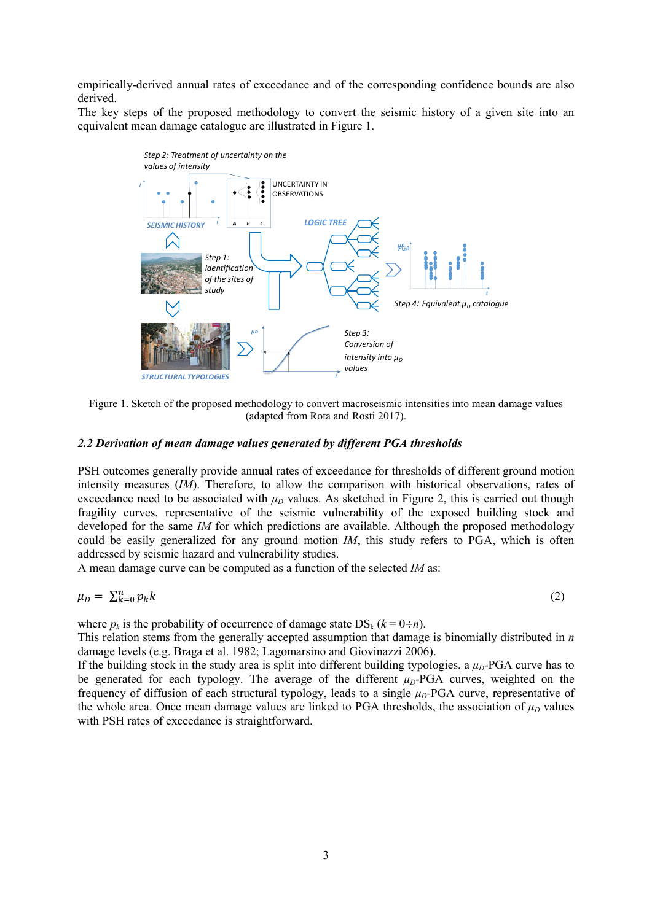empirically-derived annual rates of exceedance and of the corresponding confidence bounds are also derived.

The key steps of the proposed methodology to convert the seismic history of a given site into an equivalent mean damage catalogue are illustrated in Figure 1.



Figure 1. Sketch of the proposed methodology to convert macroseismic intensities into mean damage values (adapted from Rota and Rosti 2017).

### *2.2 Derivation of mean damage values generated by different PGA thresholds*

PSH outcomes generally provide annual rates of exceedance for thresholds of different ground motion intensity measures (*IM*). Therefore, to allow the comparison with historical observations, rates of exceedance need to be associated with  $\mu_D$  values. As sketched in Figure 2, this is carried out though fragility curves, representative of the seismic vulnerability of the exposed building stock and developed for the same *IM* for which predictions are available. Although the proposed methodology could be easily generalized for any ground motion *IM*, this study refers to PGA, which is often addressed by seismic hazard and vulnerability studies.

A mean damage curve can be computed as a function of the selected *IM* as:

$$
\mu_D = \sum_{k=0}^n p_k k \tag{2}
$$

where  $p_k$  is the probability of occurrence of damage state  $DS_k$  ( $k = 0 \div n$ ).

This relation stems from the generally accepted assumption that damage is binomially distributed in *n* damage levels (e.g. Braga et al. 1982; Lagomarsino and Giovinazzi 2006).

If the building stock in the study area is split into different building typologies, a  $\mu_D$ -PGA curve has to be generated for each typology. The average of the different  $\mu_D$ -PGA curves, weighted on the frequency of diffusion of each structural typology, leads to a single  $μ<sub>D</sub>$ -PGA curve, representative of the whole area. Once mean damage values are linked to PGA thresholds, the association of  $\mu_D$  values with PSH rates of exceedance is straightforward.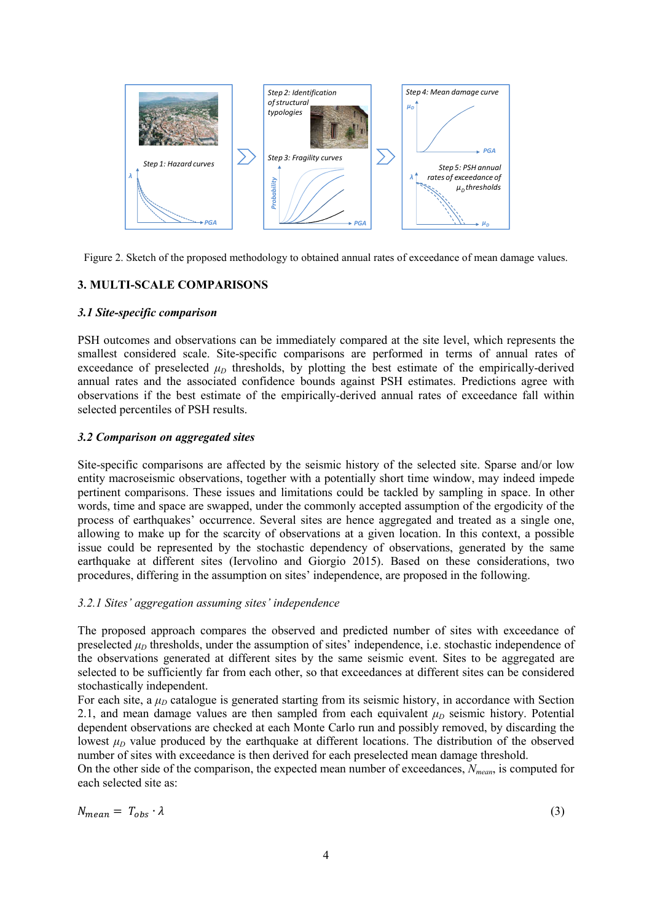

Figure 2. Sketch of the proposed methodology to obtained annual rates of exceedance of mean damage values.

# 3. MULTI-SCALE COMPARISONS

## *3.1 Site-specific comparison*

PSH outcomes and observations can be immediately compared at the site level, which represents the smallest considered scale. Site-specific comparisons are performed in terms of annual rates of exceedance of preselected  $\mu_D$  thresholds, by plotting the best estimate of the empirically-derived annual rates and the associated confidence bounds against PSH estimates. Predictions agree with observations if the best estimate of the empirically-derived annual rates of exceedance fall within selected percentiles of PSH results.

## *3.2 Comparison on aggregated sites*

Site-specific comparisons are affected by the seismic history of the selected site. Sparse and/or low entity macroseismic observations, together with a potentially short time window, may indeed impede pertinent comparisons. These issues and limitations could be tackled by sampling in space. In other words, time and space are swapped, under the commonly accepted assumption of the ergodicity of the process of earthquakes' occurrence. Several sites are hence aggregated and treated as a single one, allowing to make up for the scarcity of observations at a given location. In this context, a possible issue could be represented by the stochastic dependency of observations, generated by the same earthquake at different sites (Iervolino and Giorgio 2015). Based on these considerations, two procedures, differing in the assumption on sites' independence, are proposed in the following.

# *3.2.1 Sites' aggregation assuming sites' independence*

The proposed approach compares the observed and predicted number of sites with exceedance of preselected  $\mu_D$  thresholds, under the assumption of sites' independence, i.e. stochastic independence of the observations generated at different sites by the same seismic event. Sites to be aggregated are selected to be sufficiently far from each other, so that exceedances at different sites can be considered stochastically independent.

For each site, a  $\mu_D$  catalogue is generated starting from its seismic history, in accordance with Section 2.1, and mean damage values are then sampled from each equivalent  $\mu_D$  seismic history. Potential dependent observations are checked at each Monte Carlo run and possibly removed, by discarding the lowest  $\mu_D$  value produced by the earthquake at different locations. The distribution of the observed number of sites with exceedance is then derived for each preselected mean damage threshold.

On the other side of the comparison, the expected mean number of exceedances, *Nmean*, is computed for each selected site as:

$$
N_{mean} = T_{obs} \cdot \lambda \tag{3}
$$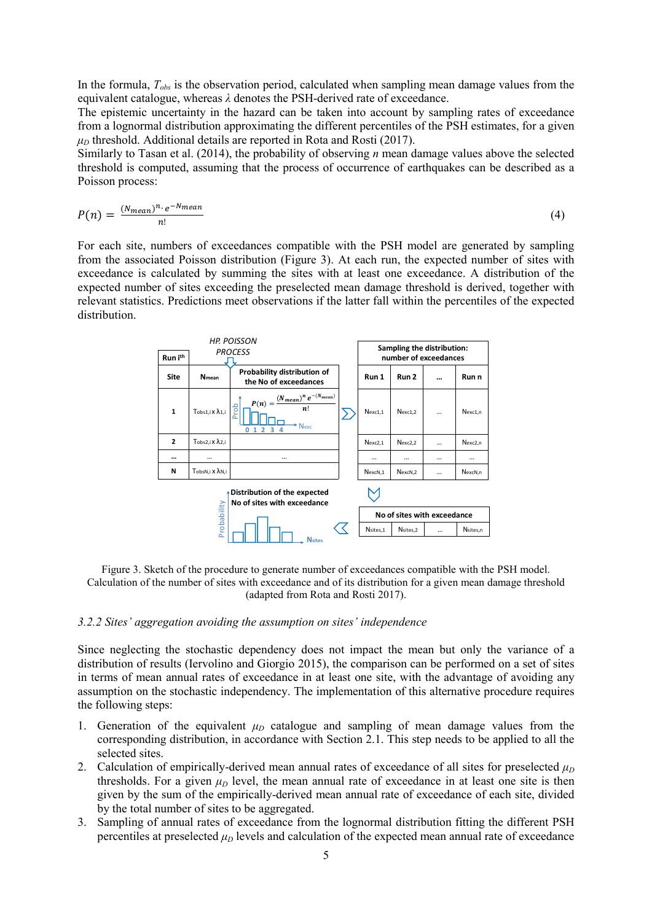In the formula, *Tobs* is the observation period, calculated when sampling mean damage values from the equivalent catalogue, whereas *λ* denotes the PSH-derived rate of exceedance.

The epistemic uncertainty in the hazard can be taken into account by sampling rates of exceedance from a lognormal distribution approximating the different percentiles of the PSH estimates, for a given  $\mu_D$  threshold. Additional details are reported in Rota and Rosti (2017).

Similarly to Tasan et al. (2014), the probability of observing *n* mean damage values above the selected threshold is computed, assuming that the process of occurrence of earthquakes can be described as a Poisson process:

$$
P(n) = \frac{(N_{mean})^n \cdot e^{-N_{mean}}}{n!}
$$
 (4)

For each site, numbers of exceedances compatible with the PSH model are generated by sampling from the associated Poisson distribution (Figure 3). At each run, the expected number of sites with exceedance is calculated by summing the sites with at least one exceedance. A distribution of the expected number of sites exceeding the preselected mean damage threshold is derived, together with relevant statistics. Predictions meet observations if the latter fall within the percentiles of the expected distribution.



Figure 3. Sketch of the procedure to generate number of exceedances compatible with the PSH model. Calculation of the number of sites with exceedance and of its distribution for a given mean damage threshold (adapted from Rota and Rosti 2017).

#### *3.2.2 Sites' aggregation avoiding the assumption on sites' independence*

Since neglecting the stochastic dependency does not impact the mean but only the variance of a distribution of results (Iervolino and Giorgio 2015), the comparison can be performed on a set of sites in terms of mean annual rates of exceedance in at least one site, with the advantage of avoiding any assumption on the stochastic independency. The implementation of this alternative procedure requires the following steps:

- 1. Generation of the equivalent  $\mu_D$  catalogue and sampling of mean damage values from the corresponding distribution, in accordance with Section 2.1. This step needs to be applied to all the selected sites.
- 2. Calculation of empirically-derived mean annual rates of exceedance of all sites for preselected  $\mu_D$ thresholds. For a given  $\mu_D$  level, the mean annual rate of exceedance in at least one site is then given by the sum of the empirically-derived mean annual rate of exceedance of each site, divided by the total number of sites to be aggregated.
- 3. Sampling of annual rates of exceedance from the lognormal distribution fitting the different PSH percentiles at preselected  $\mu_D$  levels and calculation of the expected mean annual rate of exceedance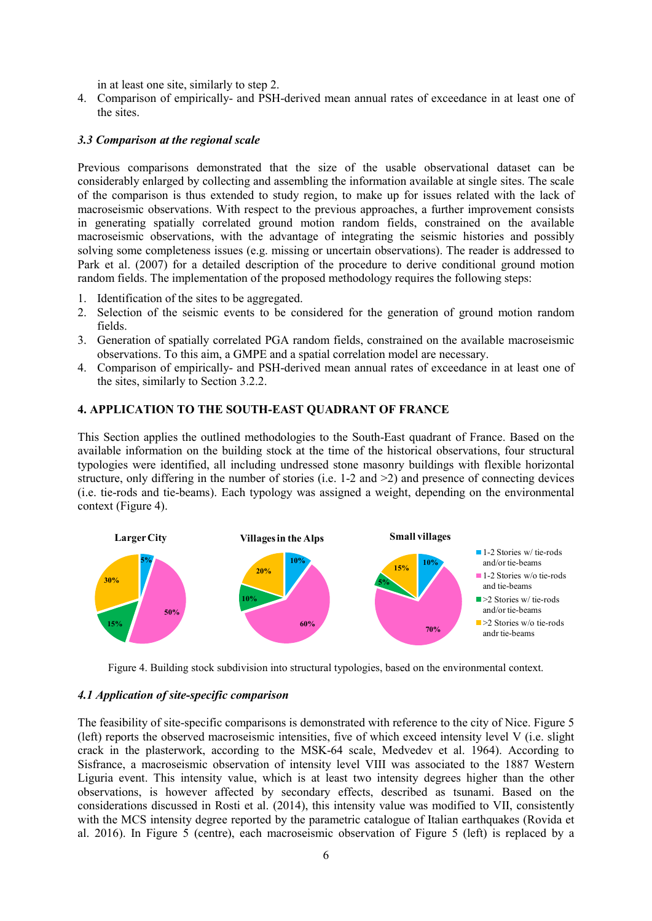in at least one site, similarly to step 2.

4. Comparison of empirically- and PSH-derived mean annual rates of exceedance in at least one of the sites.

### *3.3 Comparison at the regional scale*

Previous comparisons demonstrated that the size of the usable observational dataset can be considerably enlarged by collecting and assembling the information available at single sites. The scale of the comparison is thus extended to study region, to make up for issues related with the lack of macroseismic observations. With respect to the previous approaches, a further improvement consists in generating spatially correlated ground motion random fields, constrained on the available macroseismic observations, with the advantage of integrating the seismic histories and possibly solving some completeness issues (e.g. missing or uncertain observations). The reader is addressed to Park et al. (2007) for a detailed description of the procedure to derive conditional ground motion random fields. The implementation of the proposed methodology requires the following steps:

- 1. Identification of the sites to be aggregated.
- 2. Selection of the seismic events to be considered for the generation of ground motion random fields.
- 3. Generation of spatially correlated PGA random fields, constrained on the available macroseismic observations. To this aim, a GMPE and a spatial correlation model are necessary.
- 4. Comparison of empirically- and PSH-derived mean annual rates of exceedance in at least one of the sites, similarly to Section 3.2.2.

# 4. APPLICATION TO THE SOUTH-EAST QUADRANT OF FRANCE

This Section applies the outlined methodologies to the South-East quadrant of France. Based on the available information on the building stock at the time of the historical observations, four structural typologies were identified, all including undressed stone masonry buildings with flexible horizontal structure, only differing in the number of stories (i.e. 1-2 and >2) and presence of connecting devices (i.e. tie-rods and tie-beams). Each typology was assigned a weight, depending on the environmental context (Figure 4).



Figure 4. Building stock subdivision into structural typologies, based on the environmental context.

### *4.1 Application of site-specific comparison*

The feasibility of site-specific comparisons is demonstrated with reference to the city of Nice. Figure 5 (left) reports the observed macroseismic intensities, five of which exceed intensity level V (i.e. slight crack in the plasterwork, according to the MSK-64 scale, Medvedev et al. 1964). According to Sisfrance, a macroseismic observation of intensity level VIII was associated to the 1887 Western Liguria event. This intensity value, which is at least two intensity degrees higher than the other observations, is however affected by secondary effects, described as tsunami. Based on the considerations discussed in Rosti et al. (2014), this intensity value was modified to VII, consistently with the MCS intensity degree reported by the parametric catalogue of Italian earthquakes (Rovida et al. 2016). In Figure 5 (centre), each macroseismic observation of Figure 5 (left) is replaced by a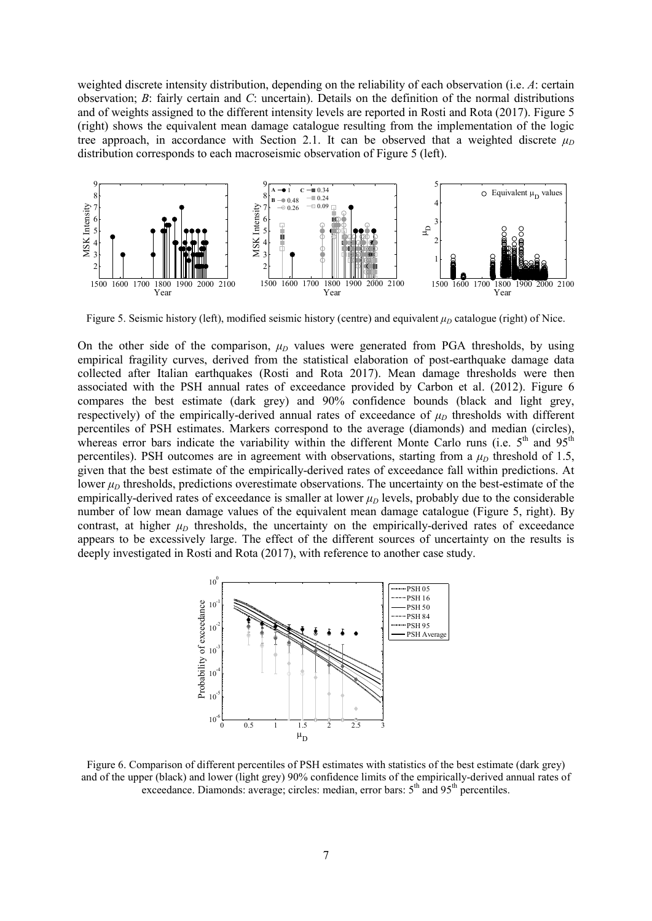weighted discrete intensity distribution, depending on the reliability of each observation (i.e. *A*: certain observation; *B*: fairly certain and *C*: uncertain). Details on the definition of the normal distributions and of weights assigned to the different intensity levels are reported in Rosti and Rota (2017). Figure 5 (right) shows the equivalent mean damage catalogue resulting from the implementation of the logic tree approach, in accordance with Section 2.1. It can be observed that a weighted discrete  $\mu_D$ distribution corresponds to each macroseismic observation of Figure 5 (left).



Figure 5. Seismic history (left), modified seismic history (centre) and equivalent  $\mu_D$  catalogue (right) of Nice.

On the other side of the comparison,  $\mu_D$  values were generated from PGA thresholds, by using empirical fragility curves, derived from the statistical elaboration of post-earthquake damage data collected after Italian earthquakes (Rosti and Rota 2017). Mean damage thresholds were then associated with the PSH annual rates of exceedance provided by Carbon et al. (2012). Figure 6 compares the best estimate (dark grey) and 90% confidence bounds (black and light grey, respectively) of the empirically-derived annual rates of exceedance of  $\mu_D$  thresholds with different percentiles of PSH estimates. Markers correspond to the average (diamonds) and median (circles), whereas error bars indicate the variability within the different Monte Carlo runs (i.e.  $5<sup>th</sup>$  and  $95<sup>th</sup>$ percentiles). PSH outcomes are in agreement with observations, starting from a  $\mu_D$  threshold of 1.5, given that the best estimate of the empirically-derived rates of exceedance fall within predictions. At lower  $\mu_D$  thresholds, predictions overestimate observations. The uncertainty on the best-estimate of the empirically-derived rates of exceedance is smaller at lower  $\mu_D$  levels, probably due to the considerable number of low mean damage values of the equivalent mean damage catalogue (Figure 5, right). By contrast, at higher  $\mu_D$  thresholds, the uncertainty on the empirically-derived rates of exceedance appears to be excessively large. The effect of the different sources of uncertainty on the results is deeply investigated in Rosti and Rota (2017), with reference to another case study.



Figure 6. Comparison of different percentiles of PSH estimates with statistics of the best estimate (dark grey) and of the upper (black) and lower (light grey) 90% confidence limits of the empirically-derived annual rates of exceedance. Diamonds: average; circles: median, error bars:  $5<sup>th</sup>$  and  $95<sup>th</sup>$  percentiles.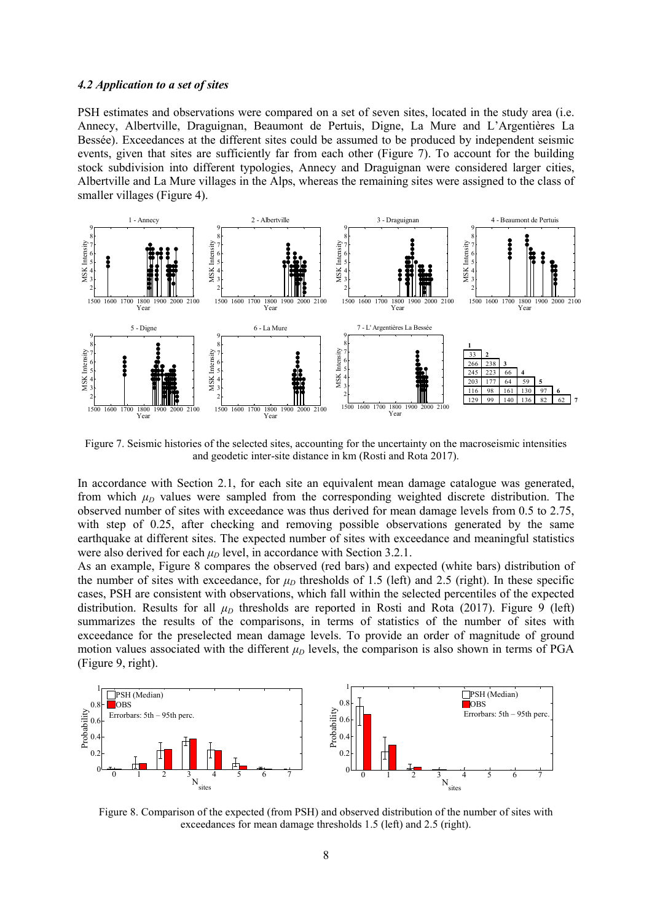#### *4.2 Application to a set of sites*

PSH estimates and observations were compared on a set of seven sites, located in the study area (i.e. Annecy, Albertville, Draguignan, Beaumont de Pertuis, Digne, La Mure and L'Argentières La Bessée). Exceedances at the different sites could be assumed to be produced by independent seismic events, given that sites are sufficiently far from each other (Figure 7). To account for the building stock subdivision into different typologies, Annecy and Draguignan were considered larger cities, Albertville and La Mure villages in the Alps, whereas the remaining sites were assigned to the class of smaller villages (Figure 4).



Figure 7. Seismic histories of the selected sites, accounting for the uncertainty on the macroseismic intensities and geodetic inter-site distance in km (Rosti and Rota 2017).

In accordance with Section 2.1, for each site an equivalent mean damage catalogue was generated, from which  $\mu_D$  values were sampled from the corresponding weighted discrete distribution. The observed number of sites with exceedance was thus derived for mean damage levels from 0.5 to 2.75, with step of 0.25, after checking and removing possible observations generated by the same earthquake at different sites. The expected number of sites with exceedance and meaningful statistics were also derived for each  $\mu_D$  level, in accordance with Section 3.2.1.

As an example, Figure 8 compares the observed (red bars) and expected (white bars) distribution of the number of sites with exceedance, for  $\mu_D$  thresholds of 1.5 (left) and 2.5 (right). In these specific cases, PSH are consistent with observations, which fall within the selected percentiles of the expected distribution. Results for all  $\mu_D$  thresholds are reported in Rosti and Rota (2017). Figure 9 (left) summarizes the results of the comparisons, in terms of statistics of the number of sites with exceedance for the preselected mean damage levels. To provide an order of magnitude of ground motion values associated with the different  $\mu_D$  levels, the comparison is also shown in terms of PGA (Figure 9, right).



Figure 8. Comparison of the expected (from PSH) and observed distribution of the number of sites with exceedances for mean damage thresholds 1.5 (left) and 2.5 (right).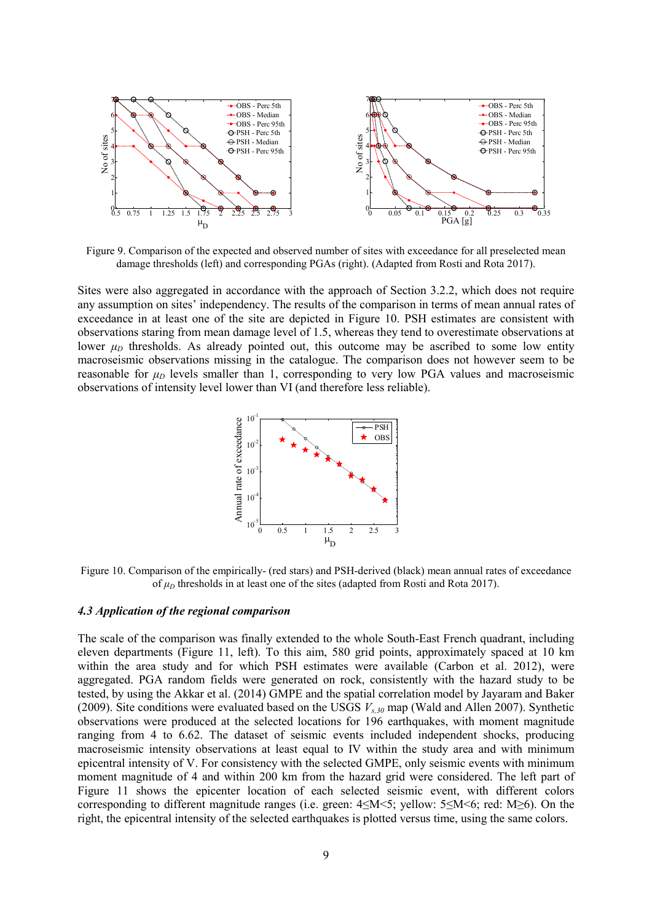

Figure 9. Comparison of the expected and observed number of sites with exceedance for all preselected mean damage thresholds (left) and corresponding PGAs (right). (Adapted from Rosti and Rota 2017).

Sites were also aggregated in accordance with the approach of Section 3.2.2, which does not require any assumption on sites' independency. The results of the comparison in terms of mean annual rates of exceedance in at least one of the site are depicted in Figure 10. PSH estimates are consistent with observations staring from mean damage level of 1.5, whereas they tend to overestimate observations at lower  $\mu_D$  thresholds. As already pointed out, this outcome may be ascribed to some low entity macroseismic observations missing in the catalogue. The comparison does not however seem to be reasonable for  $\mu_D$  levels smaller than 1, corresponding to very low PGA values and macroseismic observations of intensity level lower than VI (and therefore less reliable).



Figure 10. Comparison of the empirically- (red stars) and PSH-derived (black) mean annual rates of exceedance of  $\mu_D$  thresholds in at least one of the sites (adapted from Rosti and Rota 2017).

#### *4.3 Application of the regional comparison*

The scale of the comparison was finally extended to the whole South-East French quadrant, including eleven departments (Figure 11, left). To this aim, 580 grid points, approximately spaced at 10 km within the area study and for which PSH estimates were available (Carbon et al. 2012), were aggregated. PGA random fields were generated on rock, consistently with the hazard study to be tested, by using the Akkar et al. (2014) GMPE and the spatial correlation model by Jayaram and Baker (2009). Site conditions were evaluated based on the USGS *Vs,30* map (Wald and Allen 2007). Synthetic observations were produced at the selected locations for 196 earthquakes, with moment magnitude ranging from 4 to 6.62. The dataset of seismic events included independent shocks, producing macroseismic intensity observations at least equal to IV within the study area and with minimum epicentral intensity of V. For consistency with the selected GMPE, only seismic events with minimum moment magnitude of 4 and within 200 km from the hazard grid were considered. The left part of Figure 11 shows the epicenter location of each selected seismic event, with different colors corresponding to different magnitude ranges (i.e. green: 4≤M<5; yellow: 5≤M<6; red: M≥6). On the right, the epicentral intensity of the selected earthquakes is plotted versus time, using the same colors.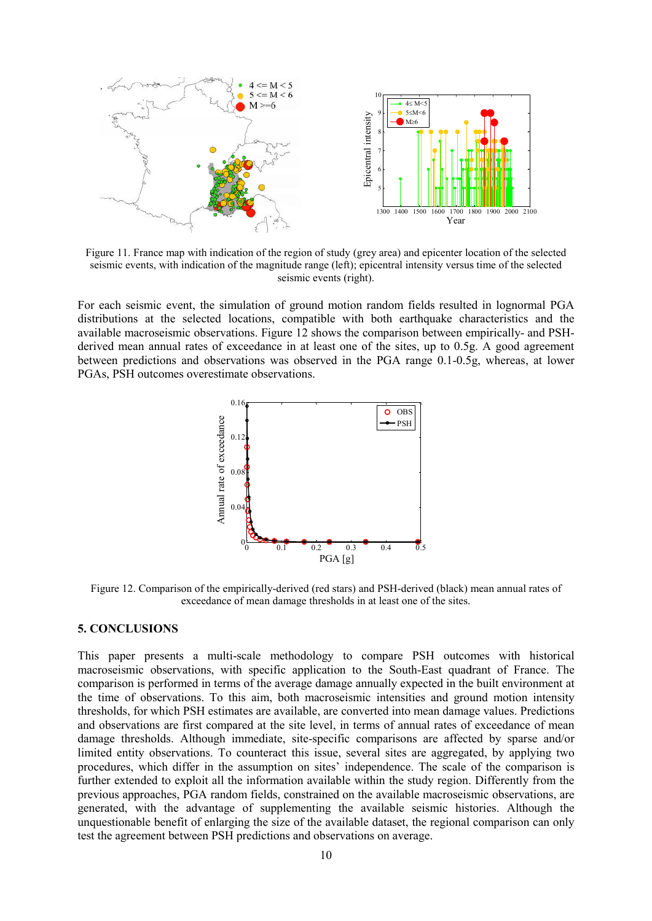

Figure 11. France map with indication of the region of study (grey area) and epicenter location of the selected seismic events, with indication of the magnitude range (left); epicentral intensity versus time of the selected seismic events (right).

For each seismic event, the simulation of ground motion random fields resulted in lognormal PGA distributions at the selected locations, compatible with both earthquake characteristics and the distributions at the selected locations, compatible with both earthquake characteristics and the available macroseismic observations. Figure 12 shows the comparison between empirically- and PSHderived mean annual rates of exceedance in at least one of the sites, up to 0.5g. A good agreement between predictions and observations was observed in the PGA range 0.1-0.5g, whereas, at lower PGAs, PSH outcomes overestimate observations.



Figure 12. Comparison of the empirically-derived (red stars) and PSH-derived (black) mean annual rates of exceedance of mean damage thresholds in at least one of the sites.

#### 5. CONCLUSIONS

This paper presents a multi-scale methodology to compare PSH outcomes with historical macroseismic observations, with specific application to the South-East quadrant of France. The comparison is performed in terms of the average damage annually expected in the built environment at the time of observations. To this aim, both macroseismic intensities and ground motion intensity thresholds, for which PSH estimates are available, are converted into mean damage values. Predictions and observations are first compared at the site level, in terms of annual rates of exceedance of mean damage thresholds. Although immediate, site-specific comparisons are affected by sparse and/or limited entity observations. To counteract this issue, several sites are aggregated, by applying two procedures, which differ in the assumption on sites' independence. The scale of the comparison is further extended to exploit all the information available within the study region. Differently from the previous approaches, PGA random fields, constrained on the available macroseismic observations, are generated, with the advantage of supplementing the available seismic histories. Although the unquestionable benefit of enlarging the size of the available dataset, the regional comparison can only test the agreement between PSH predictions and observations on average.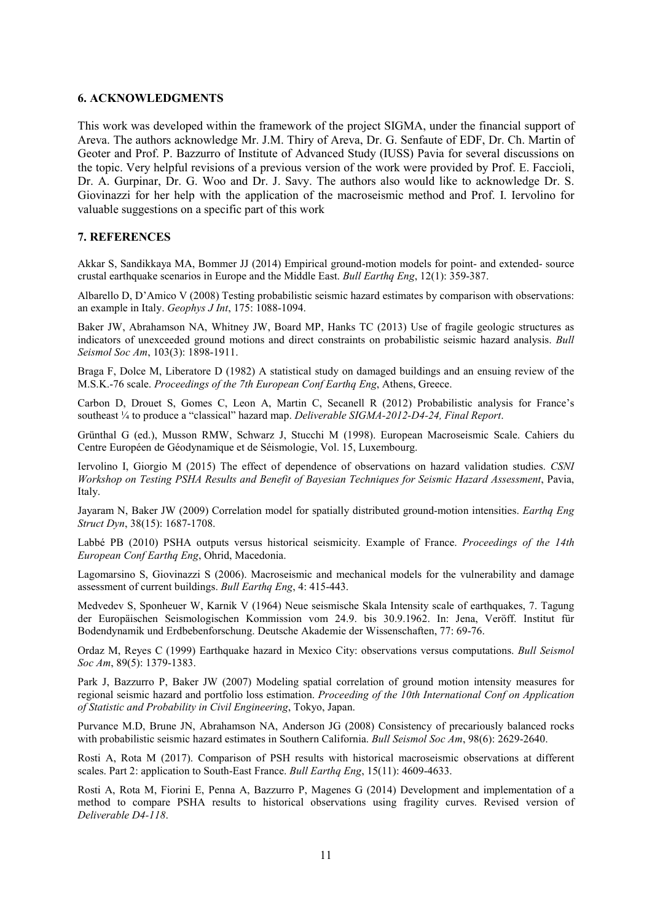#### 6. ACKNOWLEDGMENTS

This work was developed within the framework of the project SIGMA, under the financial support of Areva. The authors acknowledge Mr. J.M. Thiry of Areva, Dr. G. Senfaute of EDF, Dr. Ch. Martin of Geoter and Prof. P. Bazzurro of Institute of Advanced Study (IUSS) Pavia for several discussions on the topic. Very helpful revisions of a previous version of the work were provided by Prof. E. Faccioli, Dr. A. Gurpinar, Dr. G. Woo and Dr. J. Savy. The authors also would like to acknowledge Dr. S. Giovinazzi for her help with the application of the macroseismic method and Prof. I. Iervolino for valuable suggestions on a specific part of this work

#### 7. REFERENCES

Akkar S, Sandikkaya MA, Bommer JJ (2014) Empirical ground-motion models for point- and extended- source crustal earthquake scenarios in Europe and the Middle East. *Bull Earthq Eng*, 12(1): 359-387.

Albarello D, D'Amico V (2008) Testing probabilistic seismic hazard estimates by comparison with observations: an example in Italy. *Geophys J Int*, 175: 1088-1094.

Baker JW, Abrahamson NA, Whitney JW, Board MP, Hanks TC (2013) Use of fragile geologic structures as indicators of unexceeded ground motions and direct constraints on probabilistic seismic hazard analysis. *Bull Seismol Soc Am*, 103(3): 1898-1911.

Braga F, Dolce M, Liberatore D (1982) A statistical study on damaged buildings and an ensuing review of the M.S.K.-76 scale. *Proceedings of the 7th European Conf Earthq Eng*, Athens, Greece.

Carbon D, Drouet S, Gomes C, Leon A, Martin C, Secanell R (2012) Probabilistic analysis for France's southeast ¼ to produce a "classical" hazard map. *Deliverable SIGMA-2012-D4-24, Final Report*.

Grünthal G (ed.), Musson RMW, Schwarz J, Stucchi M (1998). European Macroseismic Scale. Cahiers du Centre Européen de Géodynamique et de Séismologie, Vol. 15, Luxembourg.

Iervolino I, Giorgio M (2015) The effect of dependence of observations on hazard validation studies. *CSNI Workshop on Testing PSHA Results and Benefit of Bayesian Techniques for Seismic Hazard Assessment*, Pavia, Italy.

Jayaram N, Baker JW (2009) Correlation model for spatially distributed ground-motion intensities. *Earthq Eng Struct Dyn*, 38(15): 1687-1708.

Labbé PB (2010) PSHA outputs versus historical seismicity. Example of France. *Proceedings of the 14th European Conf Earthq Eng*, Ohrid, Macedonia.

Lagomarsino S, Giovinazzi S (2006). Macroseismic and mechanical models for the vulnerability and damage assessment of current buildings. *Bull Earthq Eng*, 4: 415-443.

Medvedev S, Sponheuer W, Karnik V (1964) Neue seismische Skala Intensity scale of earthquakes, 7. Tagung der Europäischen Seismologischen Kommission vom 24.9. bis 30.9.1962. In: Jena, Veröff. Institut für Bodendynamik und Erdbebenforschung. Deutsche Akademie der Wissenschaften, 77: 69-76.

Ordaz M, Reyes C (1999) Earthquake hazard in Mexico City: observations versus computations. *Bull Seismol Soc Am*, 89(5): 1379-1383.

Park J, Bazzurro P, Baker JW (2007) Modeling spatial correlation of ground motion intensity measures for regional seismic hazard and portfolio loss estimation. *Proceeding of the 10th International Conf on Application of Statistic and Probability in Civil Engineering*, Tokyo, Japan.

Purvance M.D, Brune JN, Abrahamson NA, Anderson JG (2008) Consistency of precariously balanced rocks with probabilistic seismic hazard estimates in Southern California. *Bull Seismol Soc Am*, 98(6): 2629-2640.

Rosti A, Rota M (2017). Comparison of PSH results with historical macroseismic observations at different scales. Part 2: application to South-East France. *Bull Earthq Eng*, 15(11): 4609-4633.

Rosti A, Rota M, Fiorini E, Penna A, Bazzurro P, Magenes G (2014) Development and implementation of a method to compare PSHA results to historical observations using fragility curves. Revised version of *Deliverable D4-118*.